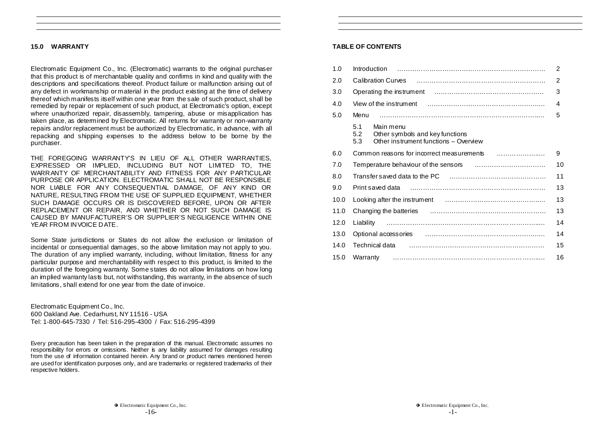## **15.0 WARRANTY**

Electromatic Equipment Co., Inc. (Electromatic) warrants to the original purchaser that this product is of merchantable quality and confirms in kind and quality with the descriptions and specifications thereof. Product failure or malfunction arising out of any defect in workmanship or material in the product existing at the time of delivery thereof which manifests itself within one year from the sale of such product, shall be remedied by repair or replacement of such product, at Electromatic's option, except where unauthorized repair, disassembly, tampering, abuse or misapplication has taken place, as determined by Electromatic. All returns for warranty or non-warranty repairs and/or replacement must be authorized by Electromatic, in advance, with all repacking and shipping expenses to the address below to be borne by the purchaser.

THE FOREGOING WARRANTY'S IN LIEU OF ALL OTHER WARRANTIES, EXPRESSED OR IMPLIED, INCLUDING BUT NOT LIMITED TO, THE WARRANTY OF MERCHANTABILITY AND FITNESS FOR ANY PARTICULAR PURPOSE OR APPLICATION. ELECTROMATIC SHALL NOT BE RESPONSIBLE NOR LIABLE FOR ANY CONSEQUENTIAL DAMAGE, OF ANY KIND OR NATURE, RESULTING FROM THE USE OF SUPPLIED EQUIPMENT, WHETHER SUCH DAMAGE OCCURS OR IS DISCOVERED BEFORE, UPON OR AFTER REPLACEMENT OR REPAIR, AND WHETHER OR NOT SUCH DAMAGE IS CAUSED BY MANUFACTURER'S OR SUPPLIER'S NEGLIGENCE WITHIN ONE YEAR FROM INVOICE DATE.

Some State jurisdictions or States do not allow the exclusion or limitation of incidental or consequential damages, so the above limitation may not apply to you. The duration of any implied warranty, including, without limitation, fitness for any particular purpose and merchantability with respect to this product, is limited to the duration of the foregoing warranty. Some states do not allow limitations on how long an implied warranty lasts but, not withstanding, this warranty, in the absence of such limitations, shall extend for one year from the date of invoice.

Electromatic Equipment Co., Inc. 600 Oakland Ave. Cedarhurst, NY 11516 - USA Tel: 1-800-645-7330 / Tel: 516-295-4300 / Fax: 516-295-4399

Every precaution has been taken in the preparation of this manual. Electromatic assumes no responsibility for errors or omissions. Neither is any liability assumed for damages resulting from the use of information contained herein. Any brand or product names mentioned herein are used for identification purposes only, and are trademarks or registered trademarks of their respective holders.

## **TABLE OF CONTENTS**

| 1.0  | Introduction                                                                                               | 2  |
|------|------------------------------------------------------------------------------------------------------------|----|
| 2.0  | <b>Calibration Curves</b>                                                                                  | 2  |
| 3.0  | Operating the instrument                                                                                   | 3  |
| 4.0  | View of the instrument                                                                                     | 4  |
| 5.0  | Menu                                                                                                       | 5  |
|      | 5.1<br>Main menu<br>5.2<br>Other symbols and key functions<br>Other instrument functions - Overview<br>5.3 |    |
| 6.0  | Common reasons for incorrect measurements                                                                  | 9  |
| 7.0  |                                                                                                            | 10 |
| 8.0  |                                                                                                            | 11 |
| 9.0  | Print saved data                                                                                           | 13 |
| 10.0 |                                                                                                            | 13 |
| 11.0 | Changing the batteries                                                                                     | 13 |
| 12.0 | Liability                                                                                                  | 14 |
| 13.0 |                                                                                                            | 14 |
| 14.0 | Technical data                                                                                             | 15 |
| 15.0 | Warranty                                                                                                   | 16 |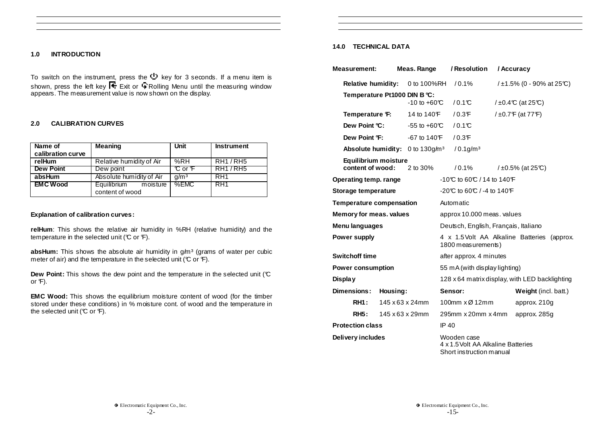# **1.0 INTRODUCTION**

To switch on the instrument, press the  $\mathbb U$  key for 3 seconds. If a menu item is shown, press the left key I  $\pm$  Exit or  $\mp$  Rolling Menu until the measuring window appears. The measurement value is now shown on the display.

# **2.0 CALIBRATION CURVES**

| Name of<br>calibration curve | <b>Meaning</b>                             | Unit             | <b>Instrument</b> |
|------------------------------|--------------------------------------------|------------------|-------------------|
| relHum                       | Relative humidity of Air                   | %RH              | <b>RH1/RH5</b>    |
| <b>Dew Point</b>             | Dew point                                  | ℃ or F           | RH17RH5           |
| absHum                       | Absolute humidity of Air                   | q/m <sup>3</sup> | RH <sub>1</sub>   |
| <b>EMC Wood</b>              | Equilibrium<br>moisture<br>content of wood | %EMC             | I RH1             |

## **Explanation of calibration curves:**

**relHum**: This shows the relative air humidity in %RH (relative humidity) and the temperature in the selected unit ( $\mathbb C$  or  $\mathbb F$ ).

absHum: This shows the absolute air humidity in g/m<sup>3</sup> (grams of water per cubic meter of air) and the temperature in the selected unit ( $\mathcal C$  or  $\mathcal F$ ).

**Dew Point:** This shows the dew point and the temperature in the selected unit (°C) or  $F$ ).

**EMC Wood:** This shows the equilibrium moisture content of wood (for the timber stored under these conditions) in % moisture cont. of wood and the temperature in the selected unit ( $\mathbb C$  or  $\mathbb F$ ).

# **14.0 TECHNICAL DATA**

| <b>Measurement:</b>                      | Meas. Range                                 |  | / Resolution<br>/ Accuracy                                                    |                  |                                |  |
|------------------------------------------|---------------------------------------------|--|-------------------------------------------------------------------------------|------------------|--------------------------------|--|
| <b>Relative humidity:</b>                | 0 to 100%RH                                 |  | $/0.1\%$                                                                      |                  | / $\pm$ 1.5% (0 - 90% at 25°C) |  |
|                                          | Temperature Pt1000 DIN B °C:                |  |                                                                               |                  |                                |  |
|                                          | $-10$ to $+60^{\circ}$                      |  | $/0.1$ °C                                                                     |                  | $/10.4$ °C (at 25°C)           |  |
| Temperature F:                           | 14 to 140 F                                 |  | $/0.3$ F                                                                      | / ±0.7F (at 77F) |                                |  |
| Dew Point °C:                            | $-55$ to $+60^{\circ}$                      |  | /0.1C                                                                         |                  |                                |  |
|                                          | Dew Point °F:<br>$-67$ to 140 $F$           |  | $/0.3$ F                                                                      |                  |                                |  |
|                                          | Absolute humidity: 0 to 130g/m <sup>3</sup> |  | $/0.1$ g/m <sup>3</sup>                                                       |                  |                                |  |
| Equilibrium moisture<br>content of wood: | 2 to 30%                                    |  | /0.1%                                                                         |                  | $/10.5\%$ (at 25°C)            |  |
| Operating temp. range                    |                                             |  | -10°C to 60°C / 14 to 140°F                                                   |                  |                                |  |
| Storage temperature                      |                                             |  | -20℃ to 60℃ / -4 to 140°F                                                     |                  |                                |  |
| <b>Temperature compensation</b>          |                                             |  | Automatic                                                                     |                  |                                |  |
| Memory for meas. values                  |                                             |  | approx 10.000 meas. values                                                    |                  |                                |  |
| Menu languages                           |                                             |  | Deutsch, English, Français, Italiano                                          |                  |                                |  |
| <b>Power supply</b>                      |                                             |  | 4 x 1.5 Volt AA Alkaline Batteries (approx.<br>1800 measurements)             |                  |                                |  |
| <b>Switchoff time</b>                    |                                             |  | after approx. 4 minutes                                                       |                  |                                |  |
| <b>Power consumption</b>                 |                                             |  | 55 mA (with display lighting)                                                 |                  |                                |  |
| Display                                  |                                             |  | 128 x 64 matrix display, with LED backlighting                                |                  |                                |  |
| <b>Dimensions:</b><br>Housing:           |                                             |  | Weight (incl. batt.)<br>Sensor:                                               |                  |                                |  |
| <b>RH1:</b>                              | 145 x 63 x 24mm                             |  | 100mm x Ø 12mm                                                                |                  | approx. 210g                   |  |
| <b>RH5:</b>                              | 145 x 63 x 29mm                             |  | 295mm x 20mm x 4mm                                                            |                  | approx. 285g                   |  |
| <b>Protection class</b>                  |                                             |  | IP 40                                                                         |                  |                                |  |
| Delivery includes                        |                                             |  | Wooden case<br>4 x 1.5 Volt AA Alkaline Batteries<br>Short instruction manual |                  |                                |  |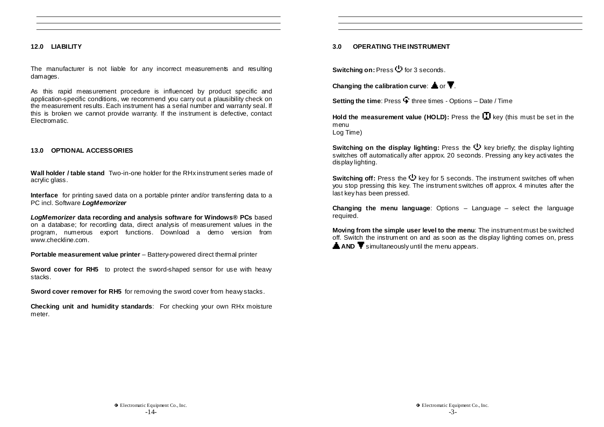## **12.0 LIABILITY**

The manufacturer is not liable for any incorrect measurements and resulting damages.

As this rapid measurement procedure is influenced by product specific and application-specific conditions, we recommend you carry out a plausibility check on the measurement results. Each instrument has a serial number and warranty seal. If this is broken we cannot provide warranty. If the instrument is defective, contact Electromatic.

## **13.0 OPTIONAL ACCESSORIES**

**Wall holder / table stand** Two-in-one holder for the RHx instrument series made of acrylic glass.

**Interface** for printing saved data on a portable printer and/or transferring data to a PC incl. Software **LogMemorizer** 

**LogMemorizer data recording and analysis software for Windows® PCs** based on a database; for recording data, direct analysis of measurement values in the program, numerous export functions. Download a demo version from www.checkline.com.

**Portable measurement value printer** – Battery-powered direct thermal printer

**Sword cover for RH5** to protect the sword-shaped sensor for use with heavy stacks.

**Sword cover remover for RH5** for removing the sword cover from heavy stacks.

**Checking unit and humidity standards**: For checking your own RHx moisture meter.

# **3.0 OPERATING THE INSTRUMENT**

**Switching on: Press**  $\Phi$  **for 3 seconds.** 

**Changing the calibration curve:**  $\triangle$  or  $\blacktriangledown$ .

**Setting the time:** Press  $\widehat{\mathbf{F}}$  three times - Options – Date / Time

**Hold the measurement value (HOLD):** Press the  $\Pi$  key (this must be set in the menu Log Time)

**Switching on the display lighting:** Press the  $\mathbb{Q}$  key briefly; the display lighting switches off automatically after approx. 20 seconds. Pressing any key activates the display lighting.

**Switching off:** Press the key for 5 seconds. The instrument switches off when you stop pressing this key. The instrument switches off approx. 4 minutes after the last key has been pressed.

**Changing the menu language**: Options – Language – select the language required.

**Moving from the simple user level to the menu**: The instrument must be switched off. Switch the instrument on and as soon as the display lighting comes on, press **A AND**  $\overline{\mathbf{Y}}$  simultaneously until the menu appears.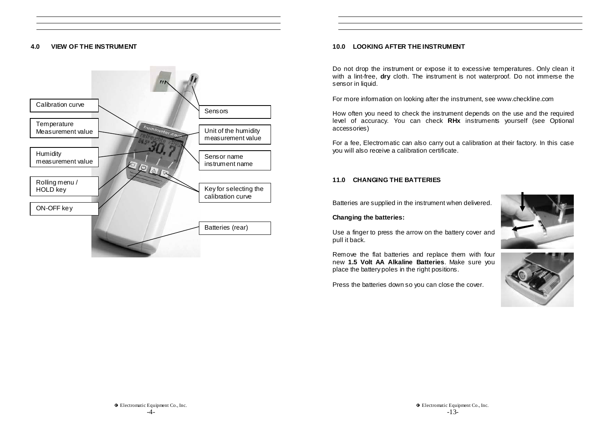# **4.0 VIEW OF THE INSTRUMENT**



# **10.0 LOOKING AFTER THE INSTRUMENT**

Do not drop the instrument or expose it to excessive temperatures. Only clean it with a lint-free, **dry** cloth. The instrument is not waterproof. Do not immerse the sensor in liquid.

For more information on looking after the instrument, see www.checkline.com

How often you need to check the instrument depends on the use and the required level of accuracy. You can check **RHx** instruments yourself (see Optional accessories)

For a fee, Electromatic can also carry out a calibration at their factory. In this case you will also receive a calibration certificate.

# **11.0 CHANGING THE BATTERIES**

Batteries are supplied in the instrument when delivered.

# **Changing the batteries:**

Use a finger to press the arrow on the battery cover and pull it back.

Remove the flat batteries and replace them with four new **1.5 Volt AA Alkaline Batteries**. Make sure you place the battery poles in the right positions.

Press the batteries down so you can close the cover.



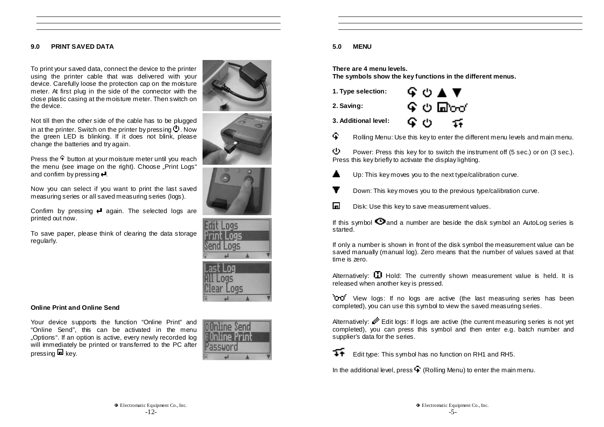# **9.0 PRINT SAVED DATA**

To print your saved data, connect the device to the printer using the printer cable that was delivered with your device. Carefully loose the protection cap on the moisture meter. At first plug in the side of the connector with the close plastic casing at the moisture meter. Then switch on the device.

Not till then the other side of the cable has to be plugged in at the printer. Switch on the printer by pressing  $\cup$ . Now the green LED is blinking. If it does not blink, please change the batteries and try again.

Press the  $\frac{1}{2}$  button at your moisture meter until you reach the menu (see image on the right). Choose "Print Logs" and confirm by pressing  $\Box$ .

Now you can select if you want to print the last saved measuring series or all saved measuring series (logs).

Confirm by pressing  $\biguparrow$  again. The selected logs are printed out now.

To save paper, please think of clearing the data storage regularly.











## **Online Print and Online Send**

Your device supports the function "Online Print" and "Online Send", this can be activated in the menu "Options". If an option is active, every newly recorded log will immediately be printed or transferred to the PC after pressing  $\blacksquare$  key.



# **5.0 MENU**

**There are 4 menu levels.** 

**The symbols show the key functions in the different menus.** 

| 1. Type selection:   | G O ▲ ▼   |
|----------------------|-----------|
| 2. Saving:           | ৭৬ ⊞তি⊄   |
| 3. Additional level: | ፍ ଓ<br>14 |

 $\widehat{\mathbf{F}}$  Rolling Menu: Use this key to enter the different menu levels and main menu.

 $\mathbb U$  Power: Press this key for to switch the instrument off (5 sec.) or on (3 sec.). Press this key briefly to activate the display lighting.

- Up: This key moves you to the next type/calibration curve.
- v Down: This key moves you to the previous type/calibration curve.
- $\Box$  Disk: Use this key to save measurement values.

If this symbol  $\bullet$  and a number are beside the disk symbol an AutoLog series is started.

If only a number is shown in front of the disk symbol the measurement value can be saved manually (manual log). Zero means that the number of values saved at that time is zero.

Alternatively:  $\Box$  Hold: The currently shown measurement value is held. It is released when another key is pressed.

<sup>1</sup>CrO View logs: If no logs are active (the last measuring series has been completed), you can use this symbol to view the saved measuring series.

Alternatively: Edit logs: If logs are active (the current measuring series is not yet completed), you can press this symbol and then enter e.g. batch number and supplier's data for the series.

Edit type: This symbol has no function on RH1 and RH5.

In the additional level, press  $\widehat{\mathbf{F}}$  (Rolling Menu) to enter the main menu.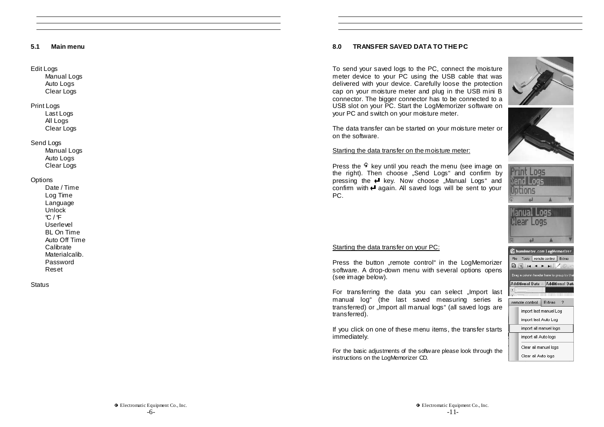#### **5.1 Main menu**

#### Edit Logs

Manual Logs Auto Logs Clear Logs

# Print Logs

Last Logs All Logs Clear Logs

## Send Logs

Manual Logs Auto Logs Clear Logs

## **Options**

Date / Time Log Time Language **Unlock**  $C / F$ Userlevel BL On Time Auto Off Time Calibrate Materialcalib. Password Reset

**Status** 

# **8.0 TRANSFER SAVED DATA TO THE PC**

To send your saved logs to the PC, connect the moisture meter device to your PC using the USB cable that was delivered with your device. Carefully loose the protection cap on your moisture meter and plug in the USB mini B connector. The bigger connector has to be connected to a USB slot on your PC. Start the LogMemorizer software on your PC and switch on your moisture meter.

The data transfer can be started on your moisture meter or on the software.

## Starting the data transfer on the moisture meter:

Press the  $\frac{1}{2}$  key until you reach the menu (see image on the right). Then choose "Send Logs" and confirm by pressing the  $\blacktriangleright$  key. Now choose "Manual Logs" and confirm with  $\blacktriangleleft$  again. All saved logs will be sent to your PC.







## Starting the data transfer on your PC:

Press the button "remote control" in the LogMemorizer software. A drop-down menu with several options opens (see image below).

For transferring the data you can select "Import last manual log" (the last saved measuring series is transferred) or "Import all manual logs" (all saved logs are transferred).

If you click on one of these menu items, the transfer starts immediately.

For the basic adjustments of the software please look through the instructions on the LogMemorizer CD.

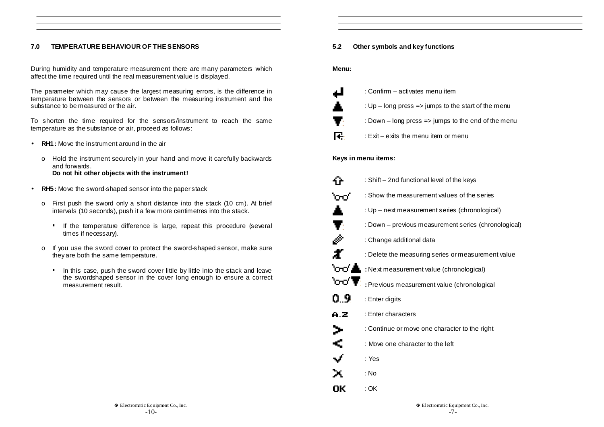# **7.0 TEMPERATURE BEHAVIOUR OF THE SENSORS**

During humidity and temperature measurement there are many parameters which affect the time required until the real measurement value is displayed.

The parameter which may cause the largest measuring errors, is the difference in temperature between the sensors or between the measuring instrument and the substance to be measured or the air.

To shorten the time required for the sensors/instrument to reach the same temperature as the substance or air, proceed as follows:

- **RH1:** Move the instrument around in the air
	- o Hold the instrument securely in your hand and move it carefully backwards and forwards. **Do not hit other objects with the instrument!**
- **RH5:** Move the sword-shaped sensor into the paper stack
	- o First push the sword only a short distance into the stack (10 cm). At brief intervals (10 seconds), push it a few more centimetres into the stack.
		- **If the temperature difference is large, repeat this procedure (several** times if necessary).
	- o If you use the sword cover to protect the sword-shaped sensor, make sure they are both the same temperature.
		- In this case, push the sword cover little by little into the stack and leave the swordshaped sensor in the cover long enough to ensure a correct measurement result.

# **5.2 Other symbols and key functions**

**Menu:** 

| ᆋ  | : Confirm – activates menu item                     |
|----|-----------------------------------------------------|
| А. | : Up - long press => jumps to the start of the menu |
| v. | : Down - long press => jumps to the end of the menu |
| Æ. | : Exit – exits the menu item or menu                |

## **Keys in menu items:**

|                                   | : Shift - 2nd functional level of the keys           |
|-----------------------------------|------------------------------------------------------|
| ്റാറ്                             | : Show the measurement values of the series          |
| ۸                                 | : Up – next measurement series (chronological)       |
| v.                                | : Down – previous measurement series (chronological) |
|                                   | : Change additional data                             |
|                                   | : Delete the measuring series or measurement value   |
|                                   | <b>OO</b> Next measurement value (chronological)     |
| $\circ \sigma \blacktriangledown$ | : Pre vious measurement value (chronological         |
| 0.9                               | : Enter digits                                       |
| A.Z                               | : Enter characters                                   |
| ⋗                                 | : Continue or move one character to the right        |
| ¢                                 | : Move one character to the left                     |
| ✓                                 | : Yes                                                |
| х                                 | : No                                                 |
| OK                                | : OK                                                 |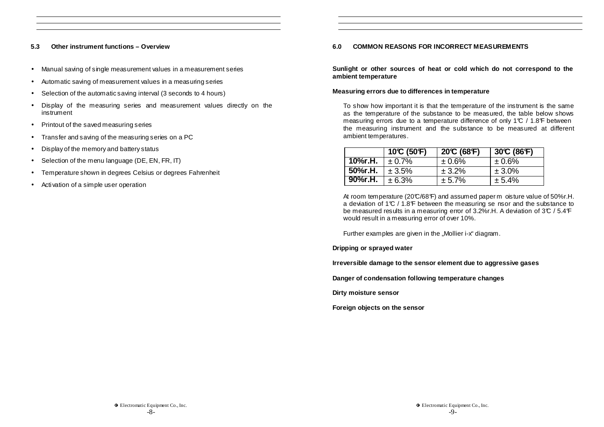## **5.3 Other instrument functions – Overview**

- Manual saving of single measurement values in a measurement series
- Automatic saving of measurement values in a measuring series
- Selection of the automatic saving interval (3 seconds to 4 hours)
- Display of the measuring series and measurement values directly on the instrument
- Printout of the saved measuring series
- Transfer and saving of the measuring series on a PC
- Display of the memory and battery status
- Selection of the menu language (DE, EN, FR, IT)
- Temperature shown in degrees Celsius or degrees Fahrenheit
- Activation of a simple user operation

# **6.0 COMMON REASONS FOR INCORRECT MEASUREMENTS**

**Sunlight or other sources of heat or cold which do not correspond to the ambient temperature** 

## **Measuring errors due to differences in temperature**

To show how important it is that the temperature of the instrument is the same as the temperature of the substance to be measured, the table below shows measuring errors due to a temperature difference of only 1 $\mathcal{C}$  / 1.8 $\mathcal{F}$  between the measuring instrument and the substance to be measured at different ambient temperatures.

|           | $10^{\circ}$ (50°F) | 20C(68F) | $30^{\circ}C(86^{\circ}F)$ |
|-----------|---------------------|----------|----------------------------|
| ∣ 10%r.H. | $\pm 0.7\%$         | ± 0.6%   | ± 0.6%                     |
| 50%r.H.   | ± 3.5%              | ± 3.2%   | $± 3.0\%$                  |
| 90%r.H.   | ± 6.3%              | ± 5.7%   | ± 5.4%                     |

At room temperature (20°C/68°F) and assumed paper m oisture value of 50% r.H. a deviation of 1°C / 1.8°F between the measuring se nsor and the substance to be measured results in a measuring error of  $3.2\%$ r.H. A deviation of  $3\textdegree C$  /  $5.4\textdegree F$ would result in a measuring error of over 10%.

Further examples are given in the "Mollier i-x" diagram.

**Dripping or sprayed water** 

**Irreversible damage to the sensor element due to aggressive gases** 

**Danger of condensation following temperature changes** 

**Dirty moisture sensor** 

**Foreign objects on the sensor**